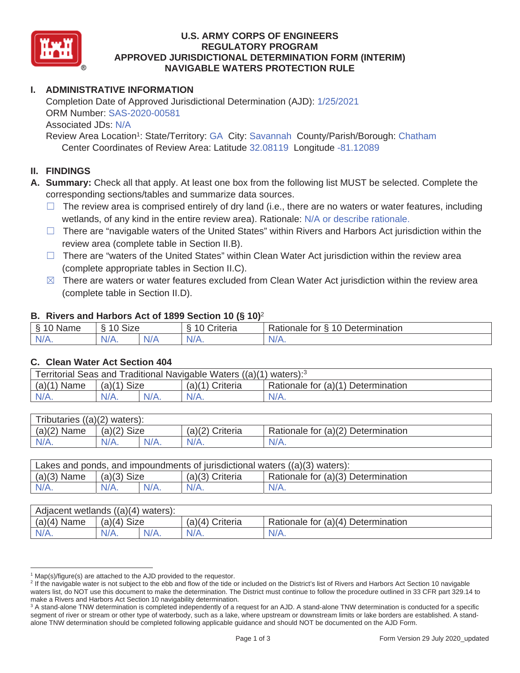

### **U.S. ARMY CORPS OF ENGINEERS REGULATORY PROGRAM APPROVED JURISDICTIONAL DETERMINATION FORM (INTERIM) NAVIGABLE WATERS PROTECTION RULE**

# **I. ADMINISTRATIVE INFORMATION**

Completion Date of Approved Jurisdictional Determination (AJD):  $1/25/2021$ ORM Number: SAS-2020-00581 Associated JDs: N/A

Review Area Location<sup>1</sup>: State/Territory: GA City: Savannah County/Parish/Borough: Chatham Center Coordinates of Review Area: Latitude 32.08119 Longitude -81.12089

#### **II. FINDINGS**

**A. Summary:** Check all that apply. At least one box from the following list MUST be selected. Complete the corresponding sections/tables and summarize data sources.

- $\Box$  The review area is comprised entirely of dry land (i.e., there are no waters or water features, including wetlands, of any kind in the entire review area). Rationale: N/A or describe rationale.
- $\Box$  There are "navigable waters of the United States" within Rivers and Harbors Act jurisdiction within the review area (complete table in Section II.B).
- $\Box$  There are "waters of the United States" within Clean Water Act jurisdiction within the review area (complete appropriate tables in Section II.C).
- $\boxtimes$  There are waters or water features excluded from Clean Water Act jurisdiction within the review area (complete table in Section II.D).

#### **B. Rivers and Harbors Act of 1899 Section 10 (§ 10)**<sup>2</sup>

| <b>R</b><br>∽<br>Name<br>ີ<br>- 1 | <b>Size</b><br>$\sim$<br>$\overline{A}$ |     | $\overline{A}$<br>`rıteria<br>` | 10<br>$\sim$<br>-<br>Determination<br>≺ationale<br>tor |
|-----------------------------------|-----------------------------------------|-----|---------------------------------|--------------------------------------------------------|
| $N/\Delta$<br>.                   | $N/A$ .                                 | N/A | $N/A$ .                         | 111<br>N/A.                                            |

#### **C. Clean Water Act Section 404**

| Territorial Seas and Traditional Navigable Waters $((a)(1)$ waters): <sup>3</sup> |               |         |                   |                                    |  |
|-----------------------------------------------------------------------------------|---------------|---------|-------------------|------------------------------------|--|
| $(a)(1)$ Name                                                                     | $(a)(1)$ Size |         | $(a)(1)$ Criteria | Rationale for (a)(1) Determination |  |
| $N/A$ .                                                                           | $N/A$ .       | $N/A$ . | $N/A$ .           | $N/A$ .                            |  |

| Tributaries $((a)(2)$ waters): |               |         |                 |                                    |  |  |
|--------------------------------|---------------|---------|-----------------|------------------------------------|--|--|
| (a)(2)<br>Name                 | $(a)(2)$ Size |         | (a)(2) Criteria | Rationale for (a)(2) Determination |  |  |
| $N/A$ .                        | $N/A$ .       | $N/A$ . | $N/A$ .         | $N/A$ .                            |  |  |

| Lakes and ponds, and impoundments of jurisdictional waters $((a)(3)$ waters): |               |         |                   |                                    |  |
|-------------------------------------------------------------------------------|---------------|---------|-------------------|------------------------------------|--|
| $(a)(3)$ Name                                                                 | $(a)(3)$ Size |         | $(a)(3)$ Criteria | Rationale for (a)(3) Determination |  |
| $N/A$ .                                                                       | $N/A$ .       | $N/A$ . | $N/A$ .           | $N/A$ .                            |  |

| Adjacent wetlands $((a)(4))$<br>waters): |                       |         |                    |                                    |  |  |
|------------------------------------------|-----------------------|---------|--------------------|------------------------------------|--|--|
| $(a)(4)$ Name                            | <b>Size</b><br>(a)(4) |         | Criteria<br>(a)(4) | Rationale for (a)(4) Determination |  |  |
| $N/A$ .                                  | N/A.                  | $N/A$ . | $N/A$ .            | $N/A$ .                            |  |  |

<sup>&</sup>lt;sup>1</sup> Map(s)/figure(s) are attached to the AJD provided to the requestor.

<sup>&</sup>lt;sup>2</sup> If the navigable water is not subject to the ebb and flow of the tide or included on the District's list of Rivers and Harbors Act Section 10 navigable waters list, do NOT use this document to make the determination. The District must continue to follow the procedure outlined in 33 CFR part 329.14 to make a Rivers and Harbors Act Section 10 navigability determination. 3

<sup>&</sup>lt;sup>3</sup> A stand-alone TNW determination is completed independently of a request for an AJD. A stand-alone TNW determination is conducted for a specific segment of river or stream or other type of waterbody, such as a lake, where upstream or downstream limits or lake borders are established. A standalone TNW determination should be completed following applicable guidance and should NOT be documented on the AJD Form.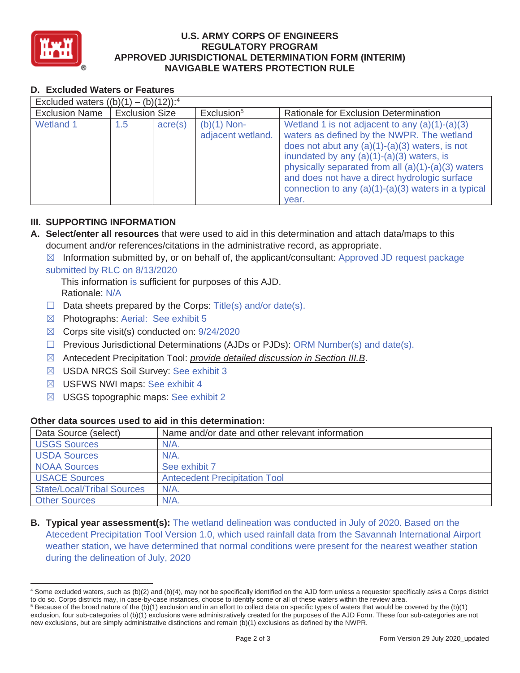

### **U.S. ARMY CORPS OF ENGINEERS REGULATORY PROGRAM APPROVED JURISDICTIONAL DETERMINATION FORM (INTERIM) NAVIGABLE WATERS PROTECTION RULE**

## **D. Excluded Waters or Features**

| Excluded waters $((b)(1) - (b)(12))$ : <sup>4</sup> |                       |         |                                    |                                                                                                                                                                                                                                                                                                                                                                              |  |
|-----------------------------------------------------|-----------------------|---------|------------------------------------|------------------------------------------------------------------------------------------------------------------------------------------------------------------------------------------------------------------------------------------------------------------------------------------------------------------------------------------------------------------------------|--|
| <b>Exclusion Name</b>                               | <b>Exclusion Size</b> |         | Exclusion <sup>5</sup>             | Rationale for Exclusion Determination                                                                                                                                                                                                                                                                                                                                        |  |
| <b>Wetland 1</b>                                    | 1.5                   | acre(s) | $(b)(1)$ Non-<br>adjacent wetland. | Wetland 1 is not adjacent to any $(a)(1)-(a)(3)$<br>waters as defined by the NWPR. The wetland<br>does not abut any $(a)(1)-(a)(3)$ waters, is not<br>inundated by any $(a)(1)-(a)(3)$ waters, is<br>physically separated from all $(a)(1)-(a)(3)$ waters<br>and does not have a direct hydrologic surface<br>connection to any $(a)(1)-(a)(3)$ waters in a typical<br>year. |  |

### **III. SUPPORTING INFORMATION**

- **A. Select/enter all resources** that were used to aid in this determination and attach data/maps to this document and/or references/citations in the administrative record, as appropriate.
	- $\boxtimes$  Information submitted by, or on behalf of, the applicant/consultant: Approved JD request package

#### submitted by RLC on 8/13/2020

This information is sufficient for purposes of this AJD. Rationale: N/A

- $\Box$  Data sheets prepared by the Corps: Title(s) and/or date(s).
- $\boxtimes$  Photographs: Aerial: See exhibit 5
- $\boxtimes$  Corps site visit(s) conducted on: 9/24/2020
- $\Box$  Previous Jurisdictional Determinations (AJDs or PJDs): ORM Number(s) and date(s).
- ܈ Antecedent Precipitation Tool: *provide detailed discussion in Section III.B*.
- ܈ USDA NRCS Soil Survey: See exhibit 3
- $\boxtimes$  USFWS NWI maps: See exhibit 4
- $\boxtimes$  USGS topographic maps: See exhibit 2

## **Other data sources used to aid in this determination:**

| Data Source (select)              | Name and/or date and other relevant information |
|-----------------------------------|-------------------------------------------------|
| <b>USGS Sources</b>               | $N/A$ .                                         |
| <b>USDA Sources</b>               | $N/A$ .                                         |
| <b>NOAA Sources</b>               | See exhibit 7                                   |
| <b>USACE Sources</b>              | <b>Antecedent Precipitation Tool</b>            |
| <b>State/Local/Tribal Sources</b> | N/A                                             |
| <b>Other Sources</b>              | N/A                                             |

**B. Typical year assessment(s):** The wetland delineation was conducted in July of 2020. Based on the Atecedent Precipitation Tool Version 1.0, which used rainfall data from the Savannah International Airport weather station, we have determined that normal conditions were present for the nearest weather station during the delineation of July, 2020

<sup>4</sup> Some excluded waters, such as (b)(2) and (b)(4), may not be specifically identified on the AJD form unless a requestor specifically asks a Corps district to do so. Corps districts may, in case-by-case instances, choose to identify some or all of these waters within the review area. 5

 $5$  Because of the broad nature of the (b)(1) exclusion and in an effort to collect data on specific types of waters that would be covered by the (b)(1) exclusion, four sub-categories of (b)(1) exclusions were administratively created for the purposes of the AJD Form. These four sub-categories are not new exclusions, but are simply administrative distinctions and remain (b)(1) exclusions as defined by the NWPR.